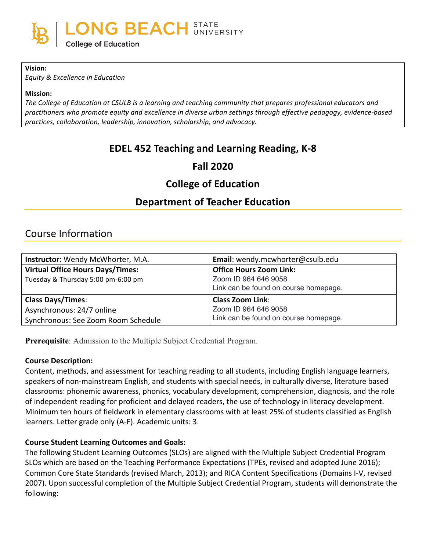

#### **Vision:**

*Equity & Excellence in Education*

#### **Mission:**

The College of Education at CSULB is a learning and teaching community that prepares professional educators and practitioners who promote equity and excellence in diverse urban settings through effective pedagogy, evidence-based practices, collaboration, leadership, innovation, scholarship, and advocacy.

# **EDEL 452 Teaching and Learning Reading, K-8**

# **Fall 2020**

# **College of Education**

# **Department of Teacher Education**

# Course Information

| Instructor: Wendy McWhorter, M.A.       | Email: wendy.mcwhorter@csulb.edu      |
|-----------------------------------------|---------------------------------------|
| <b>Virtual Office Hours Days/Times:</b> | <b>Office Hours Zoom Link:</b>        |
| Tuesday & Thursday 5:00 pm-6:00 pm      | Zoom ID 964 646 9058                  |
|                                         | Link can be found on course homepage. |
| <b>Class Days/Times:</b>                | <b>Class Zoom Link:</b>               |
| Asynchronous: 24/7 online               | Zoom ID 964 646 9058                  |
| Synchronous: See Zoom Room Schedule     | Link can be found on course homepage. |

**Prerequisite**: Admission to the Multiple Subject Credential Program.

#### **Course Description:**

Content, methods, and assessment for teaching reading to all students, including English language learners, speakers of non-mainstream English, and students with special needs, in culturally diverse, literature based classrooms: phonemic awareness, phonics, vocabulary development, comprehension, diagnosis, and the role of independent reading for proficient and delayed readers, the use of technology in literacy development. Minimum ten hours of fieldwork in elementary classrooms with at least 25% of students classified as English learners. Letter grade only (A-F). Academic units: 3.

#### **Course Student Learning Outcomes and Goals:**

The following Student Learning Outcomes (SLOs) are aligned with the Multiple Subject Credential Program SLOs which are based on the Teaching Performance Expectations (TPEs, revised and adopted June 2016); Common Core State Standards (revised March, 2013); and RICA Content Specifications (Domains I-V, revised 2007). Upon successful completion of the Multiple Subject Credential Program, students will demonstrate the following: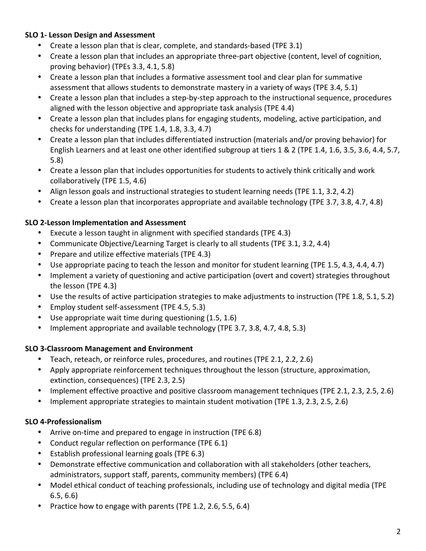# **SLO 1- Lesson Design and Assessment**

- Create a lesson plan that is clear, complete, and standards-based (TPE 3.1)
- Create a lesson plan that includes an appropriate three-part objective (content, level of cognition, proving behavior) (TPEs  $3.3, 4.1, 5.8$ )
- Create a lesson plan that includes a formative assessment tool and clear plan for summative assessment that allows students to demonstrate mastery in a variety of ways (TPE 3.4, 5.1)
- Create a lesson plan that includes a step-by-step approach to the instructional sequence, procedures aligned with the lesson objective and appropriate task analysis (TPE  $4.4$ )
- Create a lesson plan that includes plans for engaging students, modeling, active participation, and checks for understanding (TPE  $1.4$ ,  $1.8$ ,  $3.3$ ,  $4.7$ )
- Create a lesson plan that includes differentiated instruction (materials and/or proving behavior) for English Learners and at least one other identified subgroup at tiers  $1 \& 2$  (TPE 1.4, 1.6, 3.5, 3.6, 4.4, 5.7, 5.8)
- Create a lesson plan that includes opportunities for students to actively think critically and work collaboratively (TPE 1.5, 4.6)
- Align lesson goals and instructional strategies to student learning needs (TPE 1.1, 3.2, 4.2)
- Create a lesson plan that incorporates appropriate and available technology (TPE 3.7, 3.8, 4.7, 4.8)

# **SLO 2-Lesson Implementation and Assessment**

- Execute a lesson taught in alignment with specified standards (TPE 4.3)
- Communicate Objective/Learning Target is clearly to all students (TPE 3.1, 3.2, 4.4)
- Prepare and utilize effective materials (TPE 4.3)
- Use appropriate pacing to teach the lesson and monitor for student learning (TPE 1.5, 4.3, 4.4, 4.7)
- Implement a variety of questioning and active participation (overt and covert) strategies throughout the lesson (TPE 4.3)
- Use the results of active participation strategies to make adjustments to instruction (TPE 1.8, 5.1, 5.2)
- Employ student self-assessment (TPE 4.5, 5.3)
- Use appropriate wait time during questioning (1.5, 1.6)
- Implement appropriate and available technology (TPE 3.7, 3.8, 4.7, 4.8, 5.3)

# **SLO 3-Classroom Management and Environment**

- Teach, reteach, or reinforce rules, procedures, and routines (TPE 2.1, 2.2, 2.6)
- Apply appropriate reinforcement techniques throughout the lesson (structure, approximation, extinction, consequences) (TPE 2.3, 2.5)
- Implement effective proactive and positive classroom management techniques (TPE 2.1, 2.3, 2.5, 2.6)
- Implement appropriate strategies to maintain student motivation (TPE 1.3, 2.3, 2.5, 2.6)

# **SLO 4-Professionalism**

- Arrive on-time and prepared to engage in instruction (TPE 6.8)
- Conduct regular reflection on performance (TPE 6.1)
- $\bullet$  Establish professional learning goals (TPE 6.3)
- Demonstrate effective communication and collaboration with all stakeholders (other teachers, administrators, support staff, parents, community members) (TPE 6.4)
- Model ethical conduct of teaching professionals, including use of technology and digital media (TPE)  $6.5, 6.6$
- Practice how to engage with parents (TPE 1.2, 2.6, 5.5, 6.4)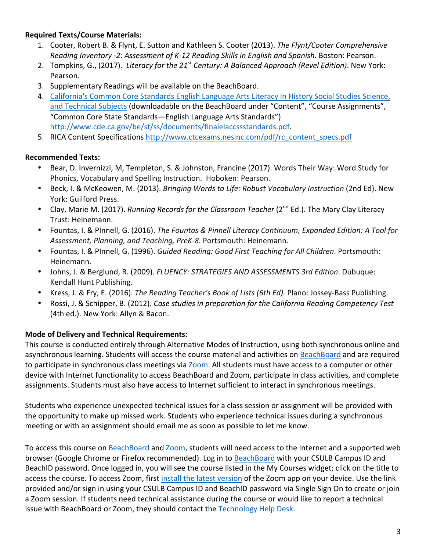# **Required Texts/Course Materials:**

- 1. Cooter, Robert B. & Flynt, E. Sutton and Kathleen S. Cooter (2013). The Flynt/Cooter Comprehensive *Reading Inventory -2: Assessment of K-12 Reading Skills in English and Spanish. Boston: Pearson.*
- 2. Tompkins, G., (2017). *Literacy for the 21<sup>st</sup> Century: A Balanced Approach (Revel Edition)*. New York: Pearson.
- 3. Supplementary Readings will be available on the BeachBoard.
- 4. California's Common Core Standards English Language Arts Literacy in History Social Studies Science, and Technical Subjects (downloadable on the BeachBoard under "Content", "Course Assignments", "Common Core State Standards—English Language Arts Standards") http://www.cde.ca.gov/be/st/ss/documents/finalelaccssstandards.pdf.
- 5. RICA Content Specifications http://www.ctcexams.nesinc.com/pdf/rc\_content\_specs.pdf

## **Recommended Texts:**

- Bear, D. Invernizzi, M, Templeton, S. & Johnston, Francine (2017). Words Their Way: Word Study for Phonics, Vocabulary and Spelling Instruction. Hoboken: Pearson.
- Beck, I. & McKeowen, M. (2013). *Bringing Words to Life: Robust Vocabulary Instruction* (2nd Ed). New York: Guilford Press.
- Clay, Marie M. (2017). *Running Records for the Classroom Teacher* (2<sup>nd</sup> Ed.). The Mary Clay Literacy Trust: Heinemann.
- Fountas, I. & PInnell, G. (2016). *The Fountas & Pinnell Literacy Continuum, Expanded Edition: A Tool for* Assessment, Planning, and Teaching, PreK-8. Portsmouth: Heinemann.
- Fountas, I. & PInnell, G. (1996). *Guided Reading: Good First Teaching for All Children*. Portsmouth: Heinemann.
- Johns, J. & Berglund, R. (2009). *FLUENCY: STRATEGIES AND ASSESSMENTS 3rd Edition*. Dubuque: Kendall Hunt Publishing.
- Kress, J. & Fry, E. (2016). *The Reading Teacher's Book of Lists (6th Ed)*. Plano: Jossey-Bass Publishing.
- Rossi, J. & Schipper, B. (2012). *Case studies in preparation for the California Reading Competency Test* (4th ed.). New York: Allyn & Bacon.

## **Mode of Delivery and Technical Requirements:**

This course is conducted entirely through Alternative Modes of Instruction, using both synchronous online and asynchronous learning. Students will access the course material and activities on BeachBoard and are required to participate in synchronous class meetings via Zoom. All students must have access to a computer or other device with Internet functionality to access BeachBoard and Zoom, participate in class activities, and complete assignments. Students must also have access to Internet sufficient to interact in synchronous meetings.

Students who experience unexpected technical issues for a class session or assignment will be provided with the opportunity to make up missed work. Students who experience technical issues during a synchronous meeting or with an assignment should email me as soon as possible to let me know.

To access this course on BeachBoard and Zoom, students will need access to the Internet and a supported web browser (Google Chrome or Firefox recommended). Log in to BeachBoard with your CSULB Campus ID and BeachID password. Once logged in, you will see the course listed in the My Courses widget; click on the title to access the course. To access Zoom, first install the latest version of the Zoom app on your device. Use the link provided and/or sign in using your CSULB Campus ID and BeachID password via Single Sign On to create or join a Zoom session. If students need technical assistance during the course or would like to report a technical issue with BeachBoard or Zoom, they should contact the Technology Help Desk.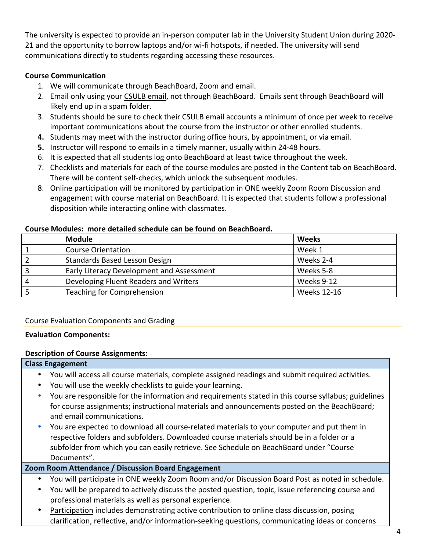The university is expected to provide an in-person computer lab in the University Student Union during 2020-21 and the opportunity to borrow laptops and/or wi-fi hotspots, if needed. The university will send communications directly to students regarding accessing these resources.

## **Course Communication**

- 1. We will communicate through BeachBoard, Zoom and email.
- 2. Email only using your CSULB email, not through BeachBoard. Emails sent through BeachBoard will likely end up in a spam folder.
- 3. Students should be sure to check their CSULB email accounts a minimum of once per week to receive important communications about the course from the instructor or other enrolled students.
- **4.** Students may meet with the instructor during office hours, by appointment, or via email.
- **5.** Instructor will respond to emails in a timely manner, usually within 24-48 hours.
- 6. It is expected that all students log onto BeachBoard at least twice throughout the week.
- 7. Checklists and materials for each of the course modules are posted in the Content tab on BeachBoard. There will be content self-checks, which unlock the subsequent modules.
- 8. Online participation will be monitored by participation in ONE weekly Zoom Room Discussion and engagement with course material on BeachBoard. It is expected that students follow a professional disposition while interacting online with classmates.

|   | <b>Module</b>                             | Weeks              |
|---|-------------------------------------------|--------------------|
|   | <b>Course Orientation</b>                 | Week 1             |
|   | Standards Based Lesson Design             | Weeks 2-4          |
|   | Early Literacy Development and Assessment | Weeks 5-8          |
| 4 | Developing Fluent Readers and Writers     | Weeks 9-12         |
|   | Teaching for Comprehension                | <b>Weeks 12-16</b> |

#### Course Modules: more detailed schedule can be found on BeachBoard.

#### Course Evaluation Components and Grading

#### **Evaluation Components:**

#### **Description of Course Assignments:**

| <b>Class Engagement</b> |                                                                                                  |  |  |
|-------------------------|--------------------------------------------------------------------------------------------------|--|--|
|                         | You will access all course materials, complete assigned readings and submit required activities. |  |  |
|                         | You will use the weekly checklists to guide your learning.                                       |  |  |

- You are responsible for the information and requirements stated in this course syllabus; guidelines for course assignments; instructional materials and announcements posted on the BeachBoard; and email communications.
- You are expected to download all course-related materials to your computer and put them in respective folders and subfolders. Downloaded course materials should be in a folder or a subfolder from which you can easily retrieve. See Schedule on BeachBoard under "Course Documents".

#### **Zoom Room Attendance / Discussion Board Engagement**

- You will participate in ONE weekly Zoom Room and/or Discussion Board Post as noted in schedule.
- You will be prepared to actively discuss the posted question, topic, issue referencing course and professional materials as well as personal experience.
- Participation includes demonstrating active contribution to online class discussion, posing clarification, reflective, and/or information-seeking questions, communicating ideas or concerns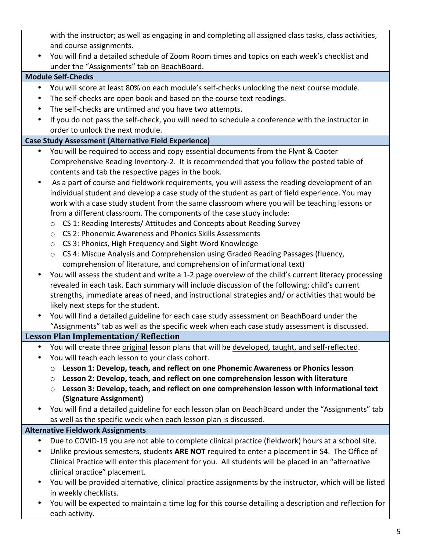with the instructor; as well as engaging in and completing all assigned class tasks, class activities, and course assignments.

• You will find a detailed schedule of Zoom Room times and topics on each week's checklist and under the "Assignments" tab on BeachBoard.

## **Module Self-Checks**

- You will score at least 80% on each module's self-checks unlocking the next course module.
- The self-checks are open book and based on the course text readings.
- The self-checks are untimed and you have two attempts.
- If you do not pass the self-check, you will need to schedule a conference with the instructor in order to unlock the next module.

## **Case Study Assessment (Alternative Field Experience)**

- You will be required to access and copy essential documents from the Flynt & Cooter Comprehensive Reading Inventory-2. It is recommended that you follow the posted table of contents and tab the respective pages in the book.
- As a part of course and fieldwork requirements, you will assess the reading development of an individual student and develop a case study of the student as part of field experience. You may work with a case study student from the same classroom where you will be teaching lessons or from a different classroom. The components of the case study include:
	- $\circ$  CS 1: Reading Interests/ Attitudes and Concepts about Reading Survey
	- o CS 2: Phonemic Awareness and Phonics Skills Assessments
	- $\circ$  CS 3: Phonics, High Frequency and Sight Word Knowledge
	- $\circ$  CS 4: Miscue Analysis and Comprehension using Graded Reading Passages (fluency, comprehension of literature, and comprehension of informational text)
- You will assess the student and write a 1-2 page overview of the child's current literacy processing revealed in each task. Each summary will include discussion of the following: child's current strengths, immediate areas of need, and instructional strategies and/ or activities that would be likely next steps for the student.
- You will find a detailed guideline for each case study assessment on BeachBoard under the "Assignments" tab as well as the specific week when each case study assessment is discussed.

## Lesson Plan Implementation/ Reflection

- You will create three original lesson plans that will be developed, taught, and self-reflected.
- You will teach each lesson to your class cohort.
	- $\circ$  Lesson 1: Develop, teach, and reflect on one Phonemic Awareness or Phonics lesson
	- $\circ$  Lesson 2: Develop, teach, and reflect on one comprehension lesson with literature
	- $\circ$  Lesson 3: Develop, teach, and reflect on one comprehension lesson with informational text **(Signature Assignment)**
- You will find a detailed guideline for each lesson plan on BeachBoard under the "Assignments" tab as well as the specific week when each lesson plan is discussed.

## **Alternative Fieldwork Assignments**

- Due to COVID-19 you are not able to complete clinical practice (fieldwork) hours at a school site.
- Unlike previous semesters, students **ARE NOT** required to enter a placement in S4. The Office of Clinical Practice will enter this placement for you. All students will be placed in an "alternative clinical practice" placement.
- You will be provided alternative, clinical practice assignments by the instructor, which will be listed in weekly checklists.
- You will be expected to maintain a time log for this course detailing a description and reflection for each activity.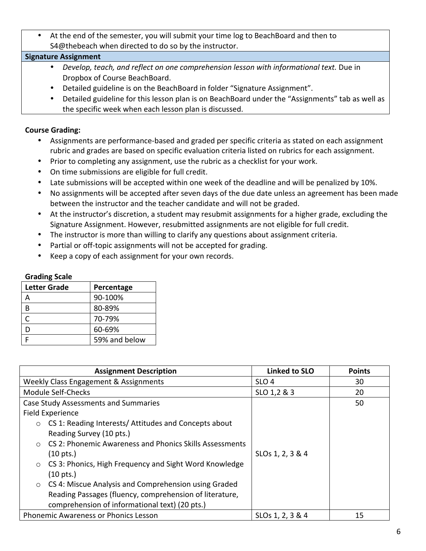• At the end of the semester, you will submit your time log to BeachBoard and then to S4@thebeach when directed to do so by the instructor.

#### **Signature Assignment**

- Develop, teach, and reflect on one comprehension lesson with informational text. Due in Dropbox of Course BeachBoard.
- Detailed guideline is on the BeachBoard in folder "Signature Assignment".
- Detailed guideline for this lesson plan is on BeachBoard under the "Assignments" tab as well as the specific week when each lesson plan is discussed.

#### **Course Grading:**

- Assignments are performance-based and graded per specific criteria as stated on each assignment rubric and grades are based on specific evaluation criteria listed on rubrics for each assignment.
- Prior to completing any assignment, use the rubric as a checklist for your work.
- On time submissions are eligible for full credit.
- Late submissions will be accepted within one week of the deadline and will be penalized by 10%.
- No assignments will be accepted after seven days of the due date unless an agreement has been made between the instructor and the teacher candidate and will not be graded.
- At the instructor's discretion, a student may resubmit assignments for a higher grade, excluding the Signature Assignment. However, resubmitted assignments are not eligible for full credit.
- The instructor is more than willing to clarify any questions about assignment criteria.
- Partial or off-topic assignments will not be accepted for grading.
- Keep a copy of each assignment for your own records.

#### **Grading Scale**

| <b>Letter Grade</b> | Percentage    |
|---------------------|---------------|
|                     | 90-100%       |
| R                   | 80-89%        |
| C                   | 70-79%        |
|                     | 60-69%        |
|                     | 59% and below |

| <b>Assignment Description</b>                                         | <b>Linked to SLO</b>         | <b>Points</b> |
|-----------------------------------------------------------------------|------------------------------|---------------|
| Weekly Class Engagement & Assignments                                 | SLO <sub>4</sub>             | 30            |
| <b>Module Self-Checks</b>                                             | SLO 1,2 & 3                  | 20            |
| <b>Case Study Assessments and Summaries</b>                           |                              | 50            |
| Field Experience                                                      |                              |               |
| CS 1: Reading Interests/ Attitudes and Concepts about<br>$\circ$      |                              |               |
| Reading Survey (10 pts.)                                              |                              |               |
| CS 2: Phonemic Awareness and Phonics Skills Assessments<br>$\bigcirc$ |                              |               |
| $(10 \text{ pts.})$                                                   | SLO <sub>s</sub> 1, 2, 3 & 4 |               |
| CS 3: Phonics, High Frequency and Sight Word Knowledge<br>$\circ$     |                              |               |
| $(10 \text{ pts.})$                                                   |                              |               |
| CS 4: Miscue Analysis and Comprehension using Graded<br>$\circ$       |                              |               |
| Reading Passages (fluency, comprehension of literature,               |                              |               |
| comprehension of informational text) (20 pts.)                        |                              |               |
| Phonemic Awareness or Phonics Lesson                                  | SLO <sub>s</sub> 1, 2, 3 & 4 | 15            |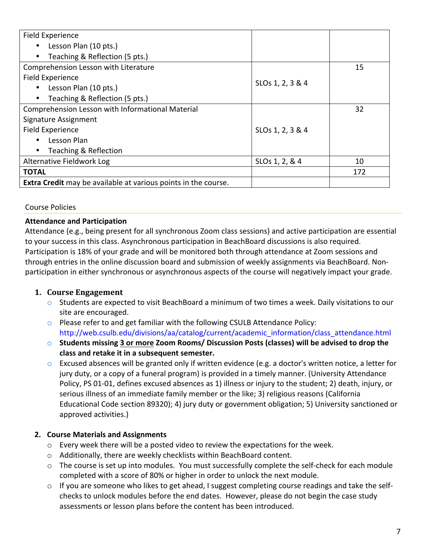| Field Experience                                                      |                              |     |
|-----------------------------------------------------------------------|------------------------------|-----|
| Lesson Plan (10 pts.)<br>$\bullet$                                    |                              |     |
| Teaching & Reflection (5 pts.)<br>$\bullet$                           |                              |     |
| Comprehension Lesson with Literature                                  |                              | 15  |
| Field Experience                                                      |                              |     |
| Lesson Plan (10 pts.)<br>$\bullet$                                    | SLO <sub>s</sub> 1, 2, 3 & 4 |     |
| Teaching & Reflection (5 pts.)<br>$\bullet$                           |                              |     |
| Comprehension Lesson with Informational Material                      |                              | 32  |
| Signature Assignment                                                  |                              |     |
| Field Experience                                                      | SLO <sub>s</sub> 1, 2, 3 & 4 |     |
| Lesson Plan<br>$\bullet$                                              |                              |     |
| Teaching & Reflection<br>$\bullet$                                    |                              |     |
| Alternative Fieldwork Log                                             | SLO <sub>s</sub> 1, 2, & 4   | 10  |
| <b>TOTAL</b>                                                          |                              | 172 |
| <b>Extra Credit</b> may be available at various points in the course. |                              |     |

#### Course Policies

#### **Attendance and Participation**

Attendance (e.g., being present for all synchronous Zoom class sessions) and active participation are essential to your success in this class. Asynchronous participation in BeachBoard discussions is also required. Participation is 18% of your grade and will be monitored both through attendance at Zoom sessions and through entries in the online discussion board and submission of weekly assignments via BeachBoard. Nonparticipation in either synchronous or asynchronous aspects of the course will negatively impact your grade.

#### 1. **Course Engagement**

- $\circ$  Students are expected to visit BeachBoard a minimum of two times a week. Daily visitations to our site are encouraged.
- $\circ$  Please refer to and get familiar with the following CSULB Attendance Policy: http://web.csulb.edu/divisions/aa/catalog/current/academic\_information/class\_attendance.html
- $\circ$  Students missing 3 or more Zoom Rooms/ Discussion Posts (classes) will be advised to drop the class and retake it in a subsequent semester.
- $\circ$  Excused absences will be granted only if written evidence (e.g. a doctor's written notice, a letter for jury duty, or a copy of a funeral program) is provided in a timely manner. (University Attendance Policy, PS 01-01, defines excused absences as 1) illness or injury to the student; 2) death, injury, or serious illness of an immediate family member or the like; 3) religious reasons (California Educational Code section 89320); 4) jury duty or government obligation; 5) University sanctioned or approved activities.)

#### **2. Course Materials and Assignments**

- $\circ$  Every week there will be a posted video to review the expectations for the week.
- $\circ$  Additionally, there are weekly checklists within BeachBoard content.
- $\circ$  The course is set up into modules. You must successfully complete the self-check for each module completed with a score of 80% or higher in order to unlock the next module.
- $\circ$  If you are someone who likes to get ahead, I suggest completing course readings and take the selfchecks to unlock modules before the end dates. However, please do not begin the case study assessments or lesson plans before the content has been introduced.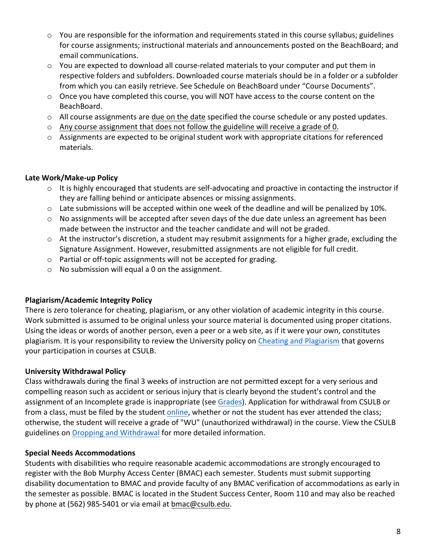- $\circ$  You are responsible for the information and requirements stated in this course syllabus; guidelines for course assignments; instructional materials and announcements posted on the BeachBoard; and email communications.
- $\circ$  You are expected to download all course-related materials to your computer and put them in respective folders and subfolders. Downloaded course materials should be in a folder or a subfolder from which you can easily retrieve. See Schedule on BeachBoard under "Course Documents".
- $\circ$  Once you have completed this course, you will NOT have access to the course content on the BeachBoard.
- $\circ$  All course assignments are due on the date specified the course schedule or any posted updates.
- $\circ$  Any course assignment that does not follow the guideline will receive a grade of 0.
- o Assignments are expected to be original student work with appropriate citations for referenced materials.

## Late Work/Make-up Policy

- $\circ$  It is highly encouraged that students are self-advocating and proactive in contacting the instructor if they are falling behind or anticipate absences or missing assignments.
- $\circ$  Late submissions will be accepted within one week of the deadline and will be penalized by 10%.
- $\circ$  No assignments will be accepted after seven days of the due date unless an agreement has been made between the instructor and the teacher candidate and will not be graded.
- $\circ$  At the instructor's discretion, a student may resubmit assignments for a higher grade, excluding the Signature Assignment. However, resubmitted assignments are not eligible for full credit.
- $\circ$  Partial or off-topic assignments will not be accepted for grading.
- $\circ$  No submission will equal a 0 on the assignment.

## **Plagiarism/Academic Integrity Policy**

There is zero tolerance for cheating, plagiarism, or any other violation of academic integrity in this course. Work submitted is assumed to be original unless your source material is documented using proper citations. Using the ideas or words of another person, even a peer or a web site, as if it were your own, constitutes plagiarism. It is your responsibility to review the University policy on Cheating and Plagiarism that governs your participation in courses at CSULB.

## **University Withdrawal Policy**

Class withdrawals during the final 3 weeks of instruction are not permitted except for a very serious and compelling reason such as accident or serious injury that is clearly beyond the student's control and the assignment of an Incomplete grade is inappropriate (see Grades). Application for withdrawal from CSULB or from a class, must be filed by the student online, whether or not the student has ever attended the class; otherwise, the student will receive a grade of "WU" (unauthorized withdrawal) in the course. View the CSULB guidelines on Dropping and Withdrawal for more detailed information.

## **Special Needs Accommodations**

Students with disabilities who require reasonable academic accommodations are strongly encouraged to register with the Bob Murphy Access Center (BMAC) each semester. Students must submit supporting disability documentation to BMAC and provide faculty of any BMAC verification of accommodations as early in the semester as possible. BMAC is located in the Student Success Center, Room 110 and may also be reached by phone at (562) 985-5401 or via email at bmac@csulb.edu.